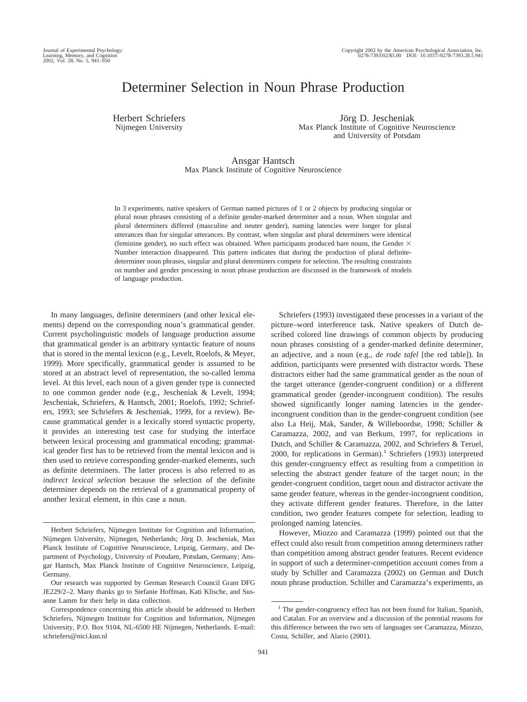# Determiner Selection in Noun Phrase Production

Herbert Schriefers Nijmegen University

Jörg D. Jescheniak Max Planck Institute of Cognitive Neuroscience and University of Potsdam

# Ansgar Hantsch Max Planck Institute of Cognitive Neuroscience

In 3 experiments, native speakers of German named pictures of 1 or 2 objects by producing singular or plural noun phrases consisting of a definite gender-marked determiner and a noun. When singular and plural determiners differed (masculine and neuter gender), naming latencies were longer for plural utterances than for singular utterances. By contrast, when singular and plural determiners were identical (feminine gender), no such effect was obtained. When participants produced bare nouns, the Gender  $\times$ Number interaction disappeared. This pattern indicates that during the production of plural definitedeterminer noun phrases, singular and plural determiners compete for selection. The resulting constraints on number and gender processing in noun phrase production are discussed in the framework of models of language production.

In many languages, definite determiners (and other lexical elements) depend on the corresponding noun's grammatical gender. Current psycholinguistic models of language production assume that grammatical gender is an arbitrary syntactic feature of nouns that is stored in the mental lexicon (e.g., Levelt, Roelofs, & Meyer, 1999). More specifically, grammatical gender is assumed to be stored at an abstract level of representation, the so-called lemma level. At this level, each noun of a given gender type is connected to one common gender node (e.g., Jescheniak & Levelt, 1994; Jescheniak, Schriefers, & Hantsch, 2001; Roelofs, 1992; Schriefers, 1993; see Schriefers & Jescheniak, 1999, for a review). Because grammatical gender is a lexically stored syntactic property, it provides an interesting test case for studying the interface between lexical processing and grammatical encoding; grammatical gender first has to be retrieved from the mental lexicon and is then used to retrieve corresponding gender-marked elements, such as definite determiners. The latter process is also referred to as *indirect lexical selection* because the selection of the definite determiner depends on the retrieval of a grammatical property of another lexical element, in this case a noun.

Schriefers (1993) investigated these processes in a variant of the picture–word interference task. Native speakers of Dutch described colored line drawings of common objects by producing noun phrases consisting of a gender-marked definite determiner, an adjective, and a noun (e.g., *de rode tafel* [the red table]). In addition, participants were presented with distractor words. These distractors either had the same grammatical gender as the noun of the target utterance (gender-congruent condition) or a different grammatical gender (gender-incongruent condition). The results showed significantly longer naming latencies in the genderincongruent condition than in the gender-congruent condition (see also La Heij, Mak, Sander, & Willeboordse, 1998; Schiller & Caramazza, 2002, and van Berkum, 1997, for replications in Dutch, and Schiller & Caramazza, 2002, and Schriefers & Teruel, 2000, for replications in German).<sup>1</sup> Schriefers (1993) interpreted this gender-congruency effect as resulting from a competition in selecting the abstract gender feature of the target noun; in the gender-congruent condition, target noun and distractor activate the same gender feature, whereas in the gender-incongruent condition, they activate different gender features. Therefore, in the latter condition, two gender features compete for selection, leading to prolonged naming latencies.

However, Miozzo and Caramazza (1999) pointed out that the effect could also result from competition among determiners rather than competition among abstract gender features. Recent evidence in support of such a determiner-competition account comes from a study by Schiller and Caramazza (2002) on German and Dutch noun phrase production. Schiller and Caramazza's experiments, as

Herbert Schriefers, Nijmegen Institute for Cognition and Information, Nijmegen University, Nijmegen, Netherlands; Jörg D. Jescheniak, Max Planck Institute of Cognitive Neuroscience, Leipzig, Germany, and Department of Psychology, University of Potsdam, Potsdam, Germany; Ansgar Hantsch, Max Planck Institute of Cognitive Neuroscience, Leipzig, Germany.

Our research was supported by German Research Council Grant DFG JE229/2–2. Many thanks go to Stefanie Hoffman, Kati Klische, and Susanne Lamm for their help in data collection.

Correspondence concerning this article should be addressed to Herbert Schriefers, Nijmegen Institute for Cognition and Information, Nijmegen University, P.O. Box 9104, NL-6500 HE Nijmegen, Netherlands. E-mail: schriefers@nici.kun.nl

<sup>&</sup>lt;sup>1</sup> The gender-congruency effect has not been found for Italian, Spanish, and Catalan. For an overview and a discussion of the potential reasons for this difference between the two sets of languages see Caramazza, Miozzo, Costa, Schiller, and Alario (2001).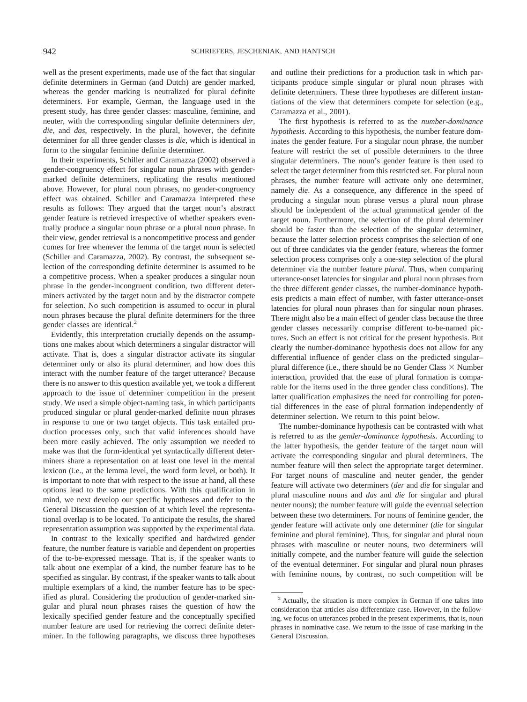well as the present experiments, made use of the fact that singular definite determiners in German (and Dutch) are gender marked, whereas the gender marking is neutralized for plural definite determiners. For example, German, the language used in the present study, has three gender classes: masculine, feminine, and neuter, with the corresponding singular definite determiners *der*, *die*, and *das*, respectively. In the plural, however, the definite determiner for all three gender classes is *die*, which is identical in form to the singular feminine definite determiner.

In their experiments, Schiller and Caramazza (2002) observed a gender-congruency effect for singular noun phrases with gendermarked definite determiners, replicating the results mentioned above. However, for plural noun phrases, no gender-congruency effect was obtained. Schiller and Caramazza interpreted these results as follows: They argued that the target noun's abstract gender feature is retrieved irrespective of whether speakers eventually produce a singular noun phrase or a plural noun phrase. In their view, gender retrieval is a noncompetitive process and gender comes for free whenever the lemma of the target noun is selected (Schiller and Caramazza, 2002). By contrast, the subsequent selection of the corresponding definite determiner is assumed to be a competitive process. When a speaker produces a singular noun phrase in the gender-incongruent condition, two different determiners activated by the target noun and by the distractor compete for selection. No such competition is assumed to occur in plural noun phrases because the plural definite determiners for the three gender classes are identical.2

Evidently, this interpretation crucially depends on the assumptions one makes about which determiners a singular distractor will activate. That is, does a singular distractor activate its singular determiner only or also its plural determiner, and how does this interact with the number feature of the target utterance? Because there is no answer to this question available yet, we took a different approach to the issue of determiner competition in the present study. We used a simple object-naming task, in which participants produced singular or plural gender-marked definite noun phrases in response to one or two target objects. This task entailed production processes only, such that valid inferences should have been more easily achieved. The only assumption we needed to make was that the form-identical yet syntactically different determiners share a representation on at least one level in the mental lexicon (i.e., at the lemma level, the word form level, or both). It is important to note that with respect to the issue at hand, all these options lead to the same predictions. With this qualification in mind, we next develop our specific hypotheses and defer to the General Discussion the question of at which level the representational overlap is to be located. To anticipate the results, the shared representation assumption was supported by the experimental data.

In contrast to the lexically specified and hardwired gender feature, the number feature is variable and dependent on properties of the to-be-expressed message. That is, if the speaker wants to talk about one exemplar of a kind, the number feature has to be specified as singular. By contrast, if the speaker wants to talk about multiple exemplars of a kind, the number feature has to be specified as plural. Considering the production of gender-marked singular and plural noun phrases raises the question of how the lexically specified gender feature and the conceptually specified number feature are used for retrieving the correct definite determiner. In the following paragraphs, we discuss three hypotheses

and outline their predictions for a production task in which participants produce simple singular or plural noun phrases with definite determiners. These three hypotheses are different instantiations of the view that determiners compete for selection (e.g., Caramazza et al., 2001).

The first hypothesis is referred to as the *number-dominance hypothesis.* According to this hypothesis, the number feature dominates the gender feature. For a singular noun phrase, the number feature will restrict the set of possible determiners to the three singular determiners. The noun's gender feature is then used to select the target determiner from this restricted set. For plural noun phrases, the number feature will activate only one determiner, namely *die*. As a consequence, any difference in the speed of producing a singular noun phrase versus a plural noun phrase should be independent of the actual grammatical gender of the target noun. Furthermore, the selection of the plural determiner should be faster than the selection of the singular determiner, because the latter selection process comprises the selection of one out of three candidates via the gender feature, whereas the former selection process comprises only a one-step selection of the plural determiner via the number feature *plural*. Thus, when comparing utterance-onset latencies for singular and plural noun phrases from the three different gender classes, the number-dominance hypothesis predicts a main effect of number, with faster utterance-onset latencies for plural noun phrases than for singular noun phrases. There might also be a main effect of gender class because the three gender classes necessarily comprise different to-be-named pictures. Such an effect is not critical for the present hypothesis. But clearly the number-dominance hypothesis does not allow for any differential influence of gender class on the predicted singular– plural difference (i.e., there should be no Gender Class  $\times$  Number interaction, provided that the ease of plural formation is comparable for the items used in the three gender class conditions). The latter qualification emphasizes the need for controlling for potential differences in the ease of plural formation independently of determiner selection. We return to this point below.

The number-dominance hypothesis can be contrasted with what is referred to as the *gender-dominance hypothesis*. According to the latter hypothesis, the gender feature of the target noun will activate the corresponding singular and plural determiners. The number feature will then select the appropriate target determiner. For target nouns of masculine and neuter gender, the gender feature will activate two determiners (*der* and *die* for singular and plural masculine nouns and *das* and *die* for singular and plural neuter nouns); the number feature will guide the eventual selection between these two determiners. For nouns of feminine gender, the gender feature will activate only one determiner (*die* for singular feminine and plural feminine). Thus, for singular and plural noun phrases with masculine or neuter nouns, two determiners will initially compete, and the number feature will guide the selection of the eventual determiner. For singular and plural noun phrases with feminine nouns, by contrast, no such competition will be

<sup>2</sup> Actually, the situation is more complex in German if one takes into consideration that articles also differentiate case. However, in the following, we focus on utterances probed in the present experiments, that is, noun phrases in nominative case. We return to the issue of case marking in the General Discussion.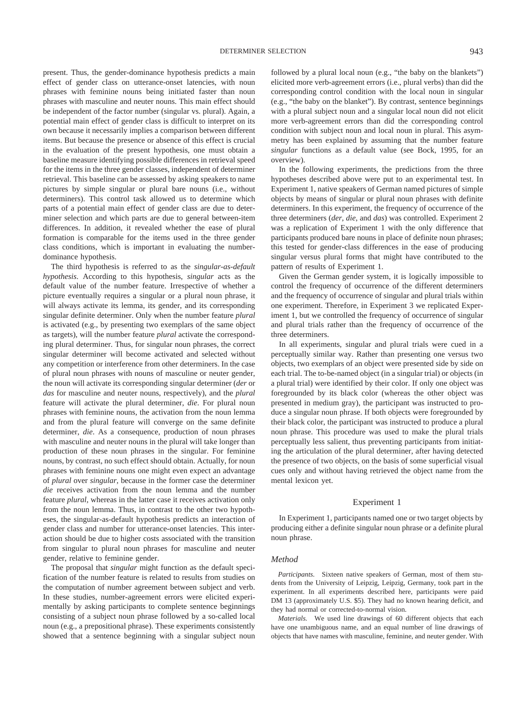present. Thus, the gender-dominance hypothesis predicts a main effect of gender class on utterance-onset latencies, with noun phrases with feminine nouns being initiated faster than noun phrases with masculine and neuter nouns. This main effect should be independent of the factor number (singular vs. plural). Again, a potential main effect of gender class is difficult to interpret on its own because it necessarily implies a comparison between different items. But because the presence or absence of this effect is crucial in the evaluation of the present hypothesis, one must obtain a baseline measure identifying possible differences in retrieval speed for the items in the three gender classes, independent of determiner retrieval. This baseline can be assessed by asking speakers to name pictures by simple singular or plural bare nouns (i.e., without determiners). This control task allowed us to determine which parts of a potential main effect of gender class are due to determiner selection and which parts are due to general between-item differences. In addition, it revealed whether the ease of plural formation is comparable for the items used in the three gender class conditions, which is important in evaluating the numberdominance hypothesis.

The third hypothesis is referred to as the *singular-as-default hypothesis*. According to this hypothesis, *singular* acts as the default value of the number feature. Irrespective of whether a picture eventually requires a singular or a plural noun phrase, it will always activate its lemma, its gender, and its corresponding singular definite determiner. Only when the number feature *plural* is activated (e.g., by presenting two exemplars of the same object as targets), will the number feature *plural* activate the corresponding plural determiner. Thus, for singular noun phrases, the correct singular determiner will become activated and selected without any competition or interference from other determiners. In the case of plural noun phrases with nouns of masculine or neuter gender, the noun will activate its corresponding singular determiner (*der* or *das* for masculine and neuter nouns, respectively), and the *plural* feature will activate the plural determiner, *die*. For plural noun phrases with feminine nouns, the activation from the noun lemma and from the plural feature will converge on the same definite determiner, *die*. As a consequence, production of noun phrases with masculine and neuter nouns in the plural will take longer than production of these noun phrases in the singular. For feminine nouns, by contrast, no such effect should obtain. Actually, for noun phrases with feminine nouns one might even expect an advantage of *plural* over *singular*, because in the former case the determiner *die* receives activation from the noun lemma and the number feature *plural*, whereas in the latter case it receives activation only from the noun lemma. Thus, in contrast to the other two hypotheses, the singular-as-default hypothesis predicts an interaction of gender class and number for utterance-onset latencies. This interaction should be due to higher costs associated with the transition from singular to plural noun phrases for masculine and neuter gender, relative to feminine gender.

The proposal that *singular* might function as the default specification of the number feature is related to results from studies on the computation of number agreement between subject and verb. In these studies, number-agreement errors were elicited experimentally by asking participants to complete sentence beginnings consisting of a subject noun phrase followed by a so-called local noun (e.g., a prepositional phrase). These experiments consistently showed that a sentence beginning with a singular subject noun

followed by a plural local noun (e.g., "the baby on the blankets") elicited more verb-agreement errors (i.e., plural verbs) than did the corresponding control condition with the local noun in singular (e.g., "the baby on the blanket"). By contrast, sentence beginnings with a plural subject noun and a singular local noun did not elicit more verb-agreement errors than did the corresponding control condition with subject noun and local noun in plural. This asymmetry has been explained by assuming that the number feature *singular* functions as a default value (see Bock, 1995, for an overview).

In the following experiments, the predictions from the three hypotheses described above were put to an experimental test. In Experiment 1, native speakers of German named pictures of simple objects by means of singular or plural noun phrases with definite determiners. In this experiment, the frequency of occurrence of the three determiners (*der*, *die*, and *das*) was controlled. Experiment 2 was a replication of Experiment 1 with the only difference that participants produced bare nouns in place of definite noun phrases; this tested for gender-class differences in the ease of producing singular versus plural forms that might have contributed to the pattern of results of Experiment 1.

Given the German gender system, it is logically impossible to control the frequency of occurrence of the different determiners and the frequency of occurrence of singular and plural trials within one experiment. Therefore, in Experiment 3 we replicated Experiment 1, but we controlled the frequency of occurrence of singular and plural trials rather than the frequency of occurrence of the three determiners.

In all experiments, singular and plural trials were cued in a perceptually similar way. Rather than presenting one versus two objects, two exemplars of an object were presented side by side on each trial. The to-be-named object (in a singular trial) or objects (in a plural trial) were identified by their color. If only one object was foregrounded by its black color (whereas the other object was presented in medium gray), the participant was instructed to produce a singular noun phrase. If both objects were foregrounded by their black color, the participant was instructed to produce a plural noun phrase. This procedure was used to make the plural trials perceptually less salient, thus preventing participants from initiating the articulation of the plural determiner, after having detected the presence of two objects, on the basis of some superficial visual cues only and without having retrieved the object name from the mental lexicon yet.

#### Experiment 1

In Experiment 1, participants named one or two target objects by producing either a definite singular noun phrase or a definite plural noun phrase.

#### *Method*

*Participants.* Sixteen native speakers of German, most of them students from the University of Leipzig, Leipzig, Germany, took part in the experiment. In all experiments described here, participants were paid DM 13 (approximately U.S. \$5). They had no known hearing deficit, and they had normal or corrected-to-normal vision.

*Materials.* We used line drawings of 60 different objects that each have one unambiguous name, and an equal number of line drawings of objects that have names with masculine, feminine, and neuter gender. With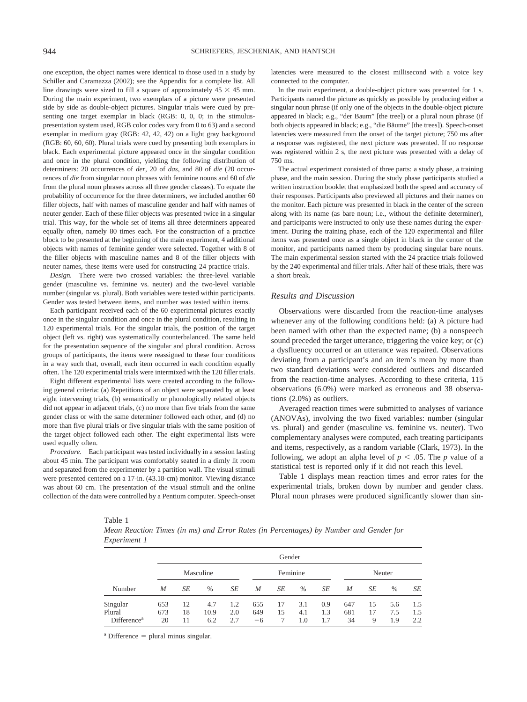one exception, the object names were identical to those used in a study by Schiller and Caramazza (2002); see the Appendix for a complete list. All line drawings were sized to fill a square of approximately  $45 \times 45$  mm. During the main experiment, two exemplars of a picture were presented side by side as double-object pictures. Singular trials were cued by presenting one target exemplar in black (RGB: 0, 0, 0; in the stimuluspresentation system used, RGB color codes vary from 0 to 63) and a second exemplar in medium gray (RGB: 42, 42, 42) on a light gray background (RGB: 60, 60, 60). Plural trials were cued by presenting both exemplars in black. Each experimental picture appeared once in the singular condition and once in the plural condition, yielding the following distribution of determiners: 20 occurrences of *der*, 20 of *das*, and 80 of *die* (20 occurrences of *die* from singular noun phrases with feminine nouns and 60 of *die* from the plural noun phrases across all three gender classes). To equate the probability of occurrence for the three determiners, we included another 60 filler objects, half with names of masculine gender and half with names of neuter gender. Each of these filler objects was presented twice in a singular trial. This way, for the whole set of items all three determiners appeared equally often, namely 80 times each. For the construction of a practice block to be presented at the beginning of the main experiment, 4 additional objects with names of feminine gender were selected. Together with 8 of the filler objects with masculine names and 8 of the filler objects with neuter names, these items were used for constructing 24 practice trials.

*Design.* There were two crossed variables: the three-level variable gender (masculine vs. feminine vs. neuter) and the two-level variable number (singular vs. plural). Both variables were tested within participants. Gender was tested between items, and number was tested within items.

Each participant received each of the 60 experimental pictures exactly once in the singular condition and once in the plural condition, resulting in 120 experimental trials. For the singular trials, the position of the target object (left vs. right) was systematically counterbalanced. The same held for the presentation sequence of the singular and plural condition. Across groups of participants, the items were reassigned to these four conditions in a way such that, overall, each item occurred in each condition equally often. The 120 experimental trials were intermixed with the 120 filler trials.

Eight different experimental lists were created according to the following general criteria: (a) Repetitions of an object were separated by at least eight intervening trials, (b) semantically or phonologically related objects did not appear in adjacent trials, (c) no more than five trials from the same gender class or with the same determiner followed each other, and (d) no more than five plural trials or five singular trials with the same position of the target object followed each other. The eight experimental lists were used equally often.

*Procedure.* Each participant was tested individually in a session lasting about 45 min. The participant was comfortably seated in a dimly lit room and separated from the experimenter by a partition wall. The visual stimuli were presented centered on a 17-in. (43.18-cm) monitor. Viewing distance was about 60 cm. The presentation of the visual stimuli and the online collection of the data were controlled by a Pentium computer. Speech-onset

latencies were measured to the closest millisecond with a voice key connected to the computer.

In the main experiment, a double-object picture was presented for 1 s. Participants named the picture as quickly as possible by producing either a singular noun phrase (if only one of the objects in the double-object picture appeared in black; e.g., "der Baum" [the tree]) or a plural noun phrase (if both objects appeared in black; e.g., "die Bäume" [the trees]). Speech-onset latencies were measured from the onset of the target picture; 750 ms after a response was registered, the next picture was presented. If no response was registered within 2 s, the next picture was presented with a delay of 750 ms.

The actual experiment consisted of three parts: a study phase, a training phase, and the main session. During the study phase participants studied a written instruction booklet that emphasized both the speed and accuracy of their responses. Participants also previewed all pictures and their names on the monitor. Each picture was presented in black in the center of the screen along with its name (as bare noun; i.e., without the definite determiner), and participants were instructed to only use these names during the experiment. During the training phase, each of the 120 experimental and filler items was presented once as a single object in black in the center of the monitor, and participants named them by producing singular bare nouns. The main experimental session started with the 24 practice trials followed by the 240 experimental and filler trials. After half of these trials, there was a short break.

# *Results and Discussion*

Observations were discarded from the reaction-time analyses whenever any of the following conditions held: (a) A picture had been named with other than the expected name; (b) a nonspeech sound preceded the target utterance, triggering the voice key; or (c) a dysfluency occurred or an utterance was repaired. Observations deviating from a participant's and an item's mean by more than two standard deviations were considered outliers and discarded from the reaction-time analyses. According to these criteria, 115 observations (6.0%) were marked as erroneous and 38 observations (2.0%) as outliers.

Averaged reaction times were submitted to analyses of variance (ANOVAs), involving the two fixed variables: number (singular vs. plural) and gender (masculine vs. feminine vs. neuter). Two complementary analyses were computed, each treating participants and items, respectively, as a random variable (Clark, 1973). In the following, we adopt an alpha level of  $p < .05$ . The *p* value of a statistical test is reported only if it did not reach this level.

Table 1 displays mean reaction times and error rates for the experimental trials, broken down by number and gender class. Plural noun phrases were produced significantly slower than sin-

Table 1

*Mean Reaction Times (in ms) and Error Rates (in Percentages) by Number and Gender for Experiment 1*

| Number                                        |                  |                |                    |                   |                    | Gender        |                   |                   |                  |               |                   |                   |
|-----------------------------------------------|------------------|----------------|--------------------|-------------------|--------------------|---------------|-------------------|-------------------|------------------|---------------|-------------------|-------------------|
|                                               |                  | Masculine      |                    |                   |                    | Feminine      |                   |                   |                  | Neuter        |                   |                   |
|                                               | M                | SЕ             | $\%$               | SЕ                | M                  | SЕ            | $\%$              | SЕ                | M                | SE            | $\%$              | SE                |
| Singular<br>Plural<br>Difference <sup>a</sup> | 653<br>673<br>20 | 12<br>18<br>11 | 4.7<br>10.9<br>6.2 | 1.2<br>2.0<br>2.7 | 655<br>649<br>$-6$ | 17<br>15<br>7 | 3.1<br>4.1<br>1.0 | 0.9<br>1.3<br>1.7 | 647<br>681<br>34 | 15<br>17<br>9 | 5.6<br>7.5<br>1.9 | 1.5<br>1.5<br>2.2 |

 $a$  Difference = plural minus singular.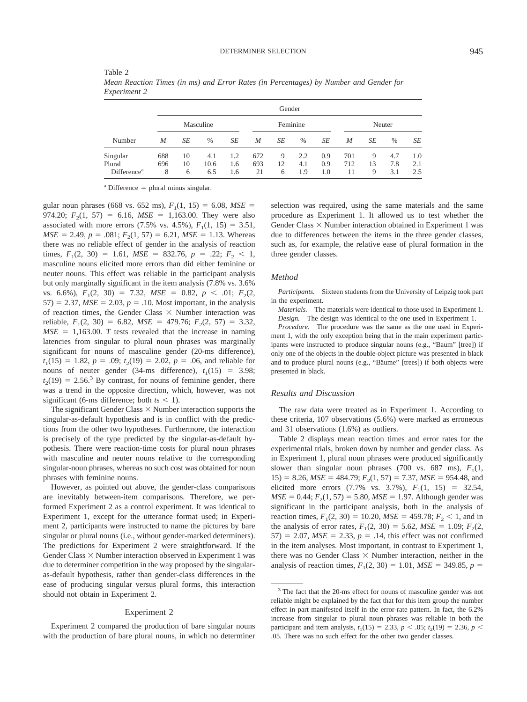| ×             |              |
|---------------|--------------|
| ۰,<br>۰.<br>v | ۰,<br>×<br>٧ |

|                                               |                 |               |                    |                   |                  | Gender       |                   |                   |                  |              |                   |                   |
|-----------------------------------------------|-----------------|---------------|--------------------|-------------------|------------------|--------------|-------------------|-------------------|------------------|--------------|-------------------|-------------------|
| Number                                        |                 |               | Masculine          | Feminine          |                  |              |                   | Neuter            |                  |              |                   |                   |
|                                               | M               | SЕ            | $\%$               | SЕ                | M                | SE           | $\%$              | SE                | M                | SE           | $\%$              | SE                |
| Singular<br>Plural<br>Difference <sup>a</sup> | 688<br>696<br>8 | 10<br>10<br>6 | 4.1<br>10.6<br>6.5 | 1.2<br>1.6<br>1.6 | 672<br>693<br>21 | 9<br>12<br>6 | 2.2<br>4.1<br>1.9 | 0.9<br>0.9<br>1.0 | 701<br>712<br>11 | 9<br>13<br>9 | 4.7<br>7.8<br>3.1 | 1.0<br>2.1<br>2.5 |

*Mean Reaction Times (in ms) and Error Rates (in Percentages) by Number and Gender for Experiment 2*

 $a$  Difference  $=$  plural minus singular.

Table 2

gular noun phrases (668 vs. 652 ms),  $F_1(1, 15) = 6.08$ ,  $MSE =$ 974.20;  $F_2(1, 57) = 6.16$ ,  $MSE = 1,163.00$ . They were also associated with more errors (7.5% vs. 4.5%),  $F_1(1, 15) = 3.51$ ,  $MSE = 2.49$ ,  $p = .081$ ;  $F<sub>2</sub>(1, 57) = 6.21$ ,  $MSE = 1.13$ . Whereas there was no reliable effect of gender in the analysis of reaction times,  $F_1(2, 30) = 1.61$ ,  $MSE = 832.76$ ,  $p = .22$ ;  $F_2 < 1$ , masculine nouns elicited more errors than did either feminine or neuter nouns. This effect was reliable in the participant analysis but only marginally significant in the item analysis (7.8% vs. 3.6% vs. 6.6%),  $F_1(2, 30) = 7.32$ ,  $MSE = 0.82$ ,  $p < .01$ ;  $F_2(2,$ 57) = 2.37,  $MSE = 2.03$ ,  $p = .10$ . Most important, in the analysis of reaction times, the Gender Class  $\times$  Number interaction was reliable,  $F_1(2, 30) = 6.82$ ,  $MSE = 479.76$ ;  $F_2(2, 57) = 3.32$ ,  $MSE = 1,163.00$ . *T* tests revealed that the increase in naming latencies from singular to plural noun phrases was marginally significant for nouns of masculine gender (20-ms difference),  $t_1(15) = 1.82, p = .09; t_2(19) = 2.02, p = .06$ , and reliable for nouns of neuter gender (34-ms difference),  $t_1(15) = 3.98$ ;  $t_2(19) = 2.56$ <sup>3</sup> By contrast, for nouns of feminine gender, there was a trend in the opposite direction, which, however, was not significant (6-ms difference; both  $ts < 1$ ).

The significant Gender Class  $\times$  Number interaction supports the singular-as-default hypothesis and is in conflict with the predictions from the other two hypotheses. Furthermore, the interaction is precisely of the type predicted by the singular-as-default hypothesis. There were reaction-time costs for plural noun phrases with masculine and neuter nouns relative to the corresponding singular-noun phrases, whereas no such cost was obtained for noun phrases with feminine nouns.

However, as pointed out above, the gender-class comparisons are inevitably between-item comparisons. Therefore, we performed Experiment 2 as a control experiment. It was identical to Experiment 1, except for the utterance format used; in Experiment 2, participants were instructed to name the pictures by bare singular or plural nouns (i.e., without gender-marked determiners). The predictions for Experiment 2 were straightforward. If the Gender Class  $\times$  Number interaction observed in Experiment 1 was due to determiner competition in the way proposed by the singularas-default hypothesis, rather than gender-class differences in the ease of producing singular versus plural forms, this interaction should not obtain in Experiment 2.

#### Experiment 2

Experiment 2 compared the production of bare singular nouns with the production of bare plural nouns, in which no determiner selection was required, using the same materials and the same procedure as Experiment 1. It allowed us to test whether the Gender Class  $\times$  Number interaction obtained in Experiment 1 was due to differences between the items in the three gender classes, such as, for example, the relative ease of plural formation in the three gender classes.

# *Method*

*Participants.* Sixteen students from the University of Leipzig took part in the experiment.

*Materials.* The materials were identical to those used in Experiment 1. *Design.* The design was identical to the one used in Experiment 1.

*Procedure.* The procedure was the same as the one used in Experiment 1, with the only exception being that in the main experiment participants were instructed to produce singular nouns (e.g., "Baum" [tree]) if only one of the objects in the double-object picture was presented in black and to produce plural nouns (e.g., "Bäume" [trees]) if both objects were presented in black.

#### *Results and Discussion*

The raw data were treated as in Experiment 1. According to these criteria, 107 observations (5.6%) were marked as erroneous and 31 observations (1.6%) as outliers.

Table 2 displays mean reaction times and error rates for the experimental trials, broken down by number and gender class. As in Experiment 1, plural noun phrases were produced significantly slower than singular noun phrases (700 vs. 687 ms),  $F_1(1, 1)$  $15$ ) = 8.26, *MSE* = 484.79;  $F_2(1, 57)$  = 7.37, *MSE* = 954.48, and elicited more errors  $(7.7\%$  vs. 3.7%),  $F_1(1, 15) = 32.54$ ,  $MSE = 0.44; F_2(1, 57) = 5.80, MSE = 1.97. Although gender was$ significant in the participant analysis, both in the analysis of reaction times,  $F_1(2, 30) = 10.20$ ,  $MSE = 459.78$ ;  $F_2 < 1$ , and in the analysis of error rates,  $F_1(2, 30) = 5.62$ ,  $MSE = 1.09$ ;  $F_2(2, 1.09)$ 57) = 2.07,  $MSE = 2.33$ ,  $p = .14$ , this effect was not confirmed in the item analyses. Most important, in contrast to Experiment 1, there was no Gender Class  $\times$  Number interaction, neither in the analysis of reaction times,  $F_1(2, 30) = 1.01$ ,  $MSE = 349.85$ ,  $p =$ 

<sup>&</sup>lt;sup>3</sup> The fact that the 20-ms effect for nouns of masculine gender was not reliable might be explained by the fact that for this item group the number effect in part manifested itself in the error-rate pattern. In fact, the 6.2% increase from singular to plural noun phrases was reliable in both the participant and item analysis,  $t_1(15) = 2.33$ ,  $p < .05$ ;  $t_2(19) = 2.36$ ,  $p <$ .05. There was no such effect for the other two gender classes.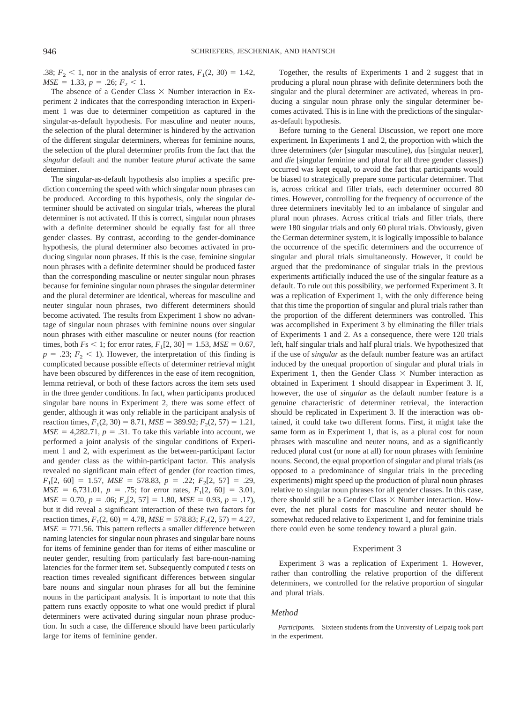.38;  $F_2$  < 1, nor in the analysis of error rates,  $F_1(2, 30) = 1.42$ ,  $MSE = 1.33, p = .26; F_2 < 1.$ 

The absence of a Gender Class  $\times$  Number interaction in Experiment 2 indicates that the corresponding interaction in Experiment 1 was due to determiner competition as captured in the singular-as-default hypothesis. For masculine and neuter nouns, the selection of the plural determiner is hindered by the activation of the different singular determiners, whereas for feminine nouns, the selection of the plural determiner profits from the fact that the *singular* default and the number feature *plural* activate the same determiner.

The singular-as-default hypothesis also implies a specific prediction concerning the speed with which singular noun phrases can be produced. According to this hypothesis, only the singular determiner should be activated on singular trials, whereas the plural determiner is not activated. If this is correct, singular noun phrases with a definite determiner should be equally fast for all three gender classes. By contrast, according to the gender-dominance hypothesis, the plural determiner also becomes activated in producing singular noun phrases. If this is the case, feminine singular noun phrases with a definite determiner should be produced faster than the corresponding masculine or neuter singular noun phrases because for feminine singular noun phrases the singular determiner and the plural determiner are identical, whereas for masculine and neuter singular noun phrases, two different determiners should become activated. The results from Experiment 1 show no advantage of singular noun phrases with feminine nouns over singular noun phrases with either masculine or neuter nouns (for reaction times, both  $F_s$  < 1; for error rates,  $F_1[2, 30] = 1.53$ ,  $MSE = 0.67$ ,  $p = .23$ ;  $F_2 < 1$ ). However, the interpretation of this finding is complicated because possible effects of determiner retrieval might have been obscured by differences in the ease of item recognition, lemma retrieval, or both of these factors across the item sets used in the three gender conditions. In fact, when participants produced singular bare nouns in Experiment 2, there was some effect of gender, although it was only reliable in the participant analysis of reaction times,  $F_1(2, 30) = 8.71$ ,  $MSE = 389.92$ ;  $F_2(2, 57) = 1.21$ ,  $MSE = 4,282.71$ ,  $p = .31$ . To take this variable into account, we performed a joint analysis of the singular conditions of Experiment 1 and 2, with experiment as the between-participant factor and gender class as the within-participant factor. This analysis revealed no significant main effect of gender (for reaction times,  $F_1[2, 60] = 1.57$ ,  $MSE = 578.83$ ,  $p = .22$ ;  $F_2[2, 57] = .29$ ,  $MSE = 6,731.01, p = .75$ ; for error rates,  $F_1[2, 60] = 3.01$ ,  $MSE = 0.70$ ,  $p = .06$ ;  $F<sub>2</sub>[2, 57] = 1.80$ ,  $MSE = 0.93$ ,  $p = .17$ ), but it did reveal a significant interaction of these two factors for reaction times,  $F_1(2, 60) = 4.78$ ,  $MSE = 578.83$ ;  $F_2(2, 57) = 4.27$ ,  $MSE = 771.56$ . This pattern reflects a smaller difference between naming latencies for singular noun phrases and singular bare nouns for items of feminine gender than for items of either masculine or neuter gender, resulting from particularly fast bare-noun-naming latencies for the former item set. Subsequently computed *t* tests on reaction times revealed significant differences between singular bare nouns and singular noun phrases for all but the feminine nouns in the participant analysis. It is important to note that this pattern runs exactly opposite to what one would predict if plural determiners were activated during singular noun phrase production. In such a case, the difference should have been particularly large for items of feminine gender.

Together, the results of Experiments 1 and 2 suggest that in producing a plural noun phrase with definite determiners both the singular and the plural determiner are activated, whereas in producing a singular noun phrase only the singular determiner becomes activated. This is in line with the predictions of the singularas-default hypothesis.

Before turning to the General Discussion, we report one more experiment. In Experiments 1 and 2, the proportion with which the three determiners (*der* [singular masculine), *das* [singular neuter], and *die* [singular feminine and plural for all three gender classes]) occurred was kept equal, to avoid the fact that participants would be biased to strategically prepare some particular determiner. That is, across critical and filler trials, each determiner occurred 80 times. However, controlling for the frequency of occurrence of the three determiners inevitably led to an imbalance of singular and plural noun phrases. Across critical trials and filler trials, there were 180 singular trials and only 60 plural trials. Obviously, given the German determiner system, it is logically impossible to balance the occurrence of the specific determiners and the occurrence of singular and plural trials simultaneously. However, it could be argued that the predominance of singular trials in the previous experiments artificially induced the use of the singular feature as a default. To rule out this possibility, we performed Experiment 3. It was a replication of Experiment 1, with the only difference being that this time the proportion of singular and plural trials rather than the proportion of the different determiners was controlled. This was accomplished in Experiment 3 by eliminating the filler trials of Experiments 1 and 2. As a consequence, there were 120 trials left, half singular trials and half plural trials. We hypothesized that if the use of *singular* as the default number feature was an artifact induced by the unequal proportion of singular and plural trials in Experiment 1, then the Gender Class  $\times$  Number interaction as obtained in Experiment 1 should disappear in Experiment 3. If, however, the use of *singular* as the default number feature is a genuine characteristic of determiner retrieval, the interaction should be replicated in Experiment 3. If the interaction was obtained, it could take two different forms. First, it might take the same form as in Experiment 1, that is, as a plural cost for noun phrases with masculine and neuter nouns, and as a significantly reduced plural cost (or none at all) for noun phrases with feminine nouns. Second, the equal proportion of singular and plural trials (as opposed to a predominance of singular trials in the preceding experiments) might speed up the production of plural noun phrases relative to singular noun phrases for all gender classes. In this case, there should still be a Gender Class  $\times$  Number interaction. However, the net plural costs for masculine and neuter should be somewhat reduced relative to Experiment 1, and for feminine trials there could even be some tendency toward a plural gain.

#### Experiment 3

Experiment 3 was a replication of Experiment 1. However, rather than controlling the relative proportion of the different determiners, we controlled for the relative proportion of singular and plural trials.

#### *Method*

*Participants.* Sixteen students from the University of Leipzig took part in the experiment.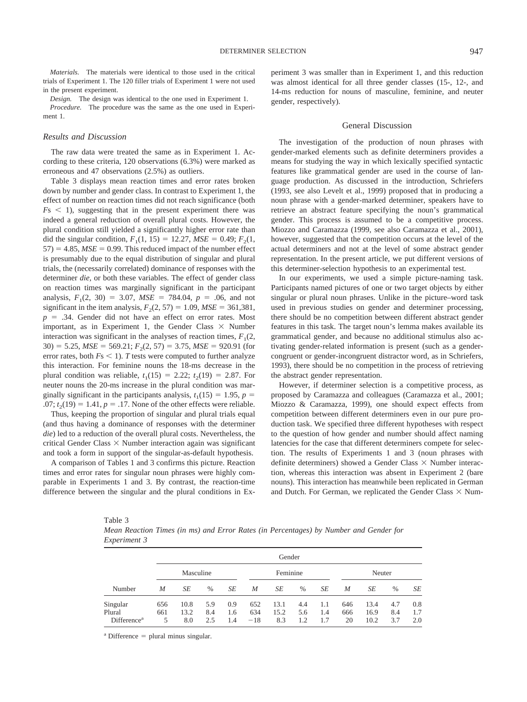*Materials.* The materials were identical to those used in the critical trials of Experiment 1. The 120 filler trials of Experiment 1 were not used in the present experiment.

*Design.* The design was identical to the one used in Experiment 1.

*Procedure.* The procedure was the same as the one used in Experiment 1.

#### *Results and Discussion*

The raw data were treated the same as in Experiment 1. According to these criteria, 120 observations (6.3%) were marked as erroneous and 47 observations (2.5%) as outliers.

Table 3 displays mean reaction times and error rates broken down by number and gender class. In contrast to Experiment 1, the effect of number on reaction times did not reach significance (both  $Fs < 1$ ), suggesting that in the present experiment there was indeed a general reduction of overall plural costs. However, the plural condition still yielded a significantly higher error rate than did the singular condition,  $F_1(1, 15) = 12.27$ ,  $MSE = 0.49$ ;  $F_2(1, 15) = 12.27$  $57$ ) = 4.85,  $MSE$  = 0.99. This reduced impact of the number effect is presumably due to the equal distribution of singular and plural trials, the (necessarily correlated) dominance of responses with the determiner *die,* or both these variables. The effect of gender class on reaction times was marginally significant in the participant analysis,  $F_1(2, 30) = 3.07$ ,  $MSE = 784.04$ ,  $p = .06$ , and not significant in the item analysis,  $F_2(2, 57) = 1.09$ ,  $MSE = 361,381$ ,  $p = .34$ . Gender did not have an effect on error rates. Most important, as in Experiment 1, the Gender Class  $\times$  Number interaction was significant in the analyses of reaction times,  $F_1(2)$ ,  $30) = 5.25, MSE = 569.21; F<sub>2</sub>(2, 57) = 3.75, MSE = 920.91$  (for error rates, both  $Fs < 1$ ). *T* tests were computed to further analyze this interaction. For feminine nouns the 18-ms decrease in the plural condition was reliable,  $t_1(15) = 2.22$ ;  $t_2(19) = 2.87$ . For neuter nouns the 20-ms increase in the plural condition was marginally significant in the participants analysis,  $t_1(15) = 1.95$ ,  $p =$ .07;  $t_2(19) = 1.41$ ,  $p = .17$ . None of the other effects were reliable.

Thus, keeping the proportion of singular and plural trials equal (and thus having a dominance of responses with the determiner *die*) led to a reduction of the overall plural costs. Nevertheless, the critical Gender Class  $\times$  Number interaction again was significant and took a form in support of the singular-as-default hypothesis.

A comparison of Tables 1 and 3 confirms this picture. Reaction times and error rates for singular noun phrases were highly comparable in Experiments 1 and 3. By contrast, the reaction-time difference between the singular and the plural conditions in Experiment 3 was smaller than in Experiment 1, and this reduction was almost identical for all three gender classes (15-, 12-, and 14-ms reduction for nouns of masculine, feminine, and neuter gender, respectively).

#### General Discussion

The investigation of the production of noun phrases with gender-marked elements such as definite determiners provides a means for studying the way in which lexically specified syntactic features like grammatical gender are used in the course of language production. As discussed in the introduction, Schriefers (1993, see also Levelt et al., 1999) proposed that in producing a noun phrase with a gender-marked determiner, speakers have to retrieve an abstract feature specifying the noun's grammatical gender. This process is assumed to be a competitive process. Miozzo and Caramazza (1999, see also Caramazza et al., 2001), however, suggested that the competition occurs at the level of the actual determiners and not at the level of some abstract gender representation. In the present article, we put different versions of this determiner-selection hypothesis to an experimental test.

In our experiments, we used a simple picture-naming task. Participants named pictures of one or two target objects by either singular or plural noun phrases. Unlike in the picture–word task used in previous studies on gender and determiner processing, there should be no competition between different abstract gender features in this task. The target noun's lemma makes available its grammatical gender, and because no additional stimulus also activating gender-related information is present (such as a gendercongruent or gender-incongruent distractor word, as in Schriefers, 1993), there should be no competition in the process of retrieving the abstract gender representation.

However, if determiner selection is a competitive process, as proposed by Caramazza and colleagues (Caramazza et al., 2001; Miozzo & Caramazza, 1999), one should expect effects from competition between different determiners even in our pure production task. We specified three different hypotheses with respect to the question of how gender and number should affect naming latencies for the case that different determiners compete for selection. The results of Experiments 1 and 3 (noun phrases with definite determiners) showed a Gender Class  $\times$  Number interaction, whereas this interaction was absent in Experiment 2 (bare nouns). This interaction has meanwhile been replicated in German and Dutch. For German, we replicated the Gender Class  $\times$  Num-

Table 3

| Mean Reaction Times (in ms) and Error Rates (in Percentages) by Number and Gender for |  |  |  |  |  |
|---------------------------------------------------------------------------------------|--|--|--|--|--|
| Experiment 3                                                                          |  |  |  |  |  |

|                                               |                 |                     |                   |                   |                     | Gender              |                   |                   |                  |                      |                   |                   |
|-----------------------------------------------|-----------------|---------------------|-------------------|-------------------|---------------------|---------------------|-------------------|-------------------|------------------|----------------------|-------------------|-------------------|
| Number                                        |                 | Masculine           |                   |                   |                     | Feminine            |                   |                   |                  | Neuter               |                   |                   |
|                                               | M               | SЕ                  | $\%$              | SЕ                | M                   | SЕ                  | $\%$              | SЕ                | M                | SЕ                   | $\%$              | SE                |
| Singular<br>Plural<br>Difference <sup>a</sup> | 656<br>661<br>5 | 10.8<br>13.2<br>8.0 | 5.9<br>8.4<br>2.5 | 0.9<br>1.6<br>1.4 | 652<br>634<br>$-18$ | 13.1<br>15.2<br>8.3 | 4.4<br>5.6<br>1.2 | 1.1<br>1.4<br>1.7 | 646<br>666<br>20 | 13.4<br>16.9<br>10.2 | 4.7<br>8.4<br>3.7 | 0.8<br>1.7<br>2.0 |

 $a$  Difference = plural minus singular.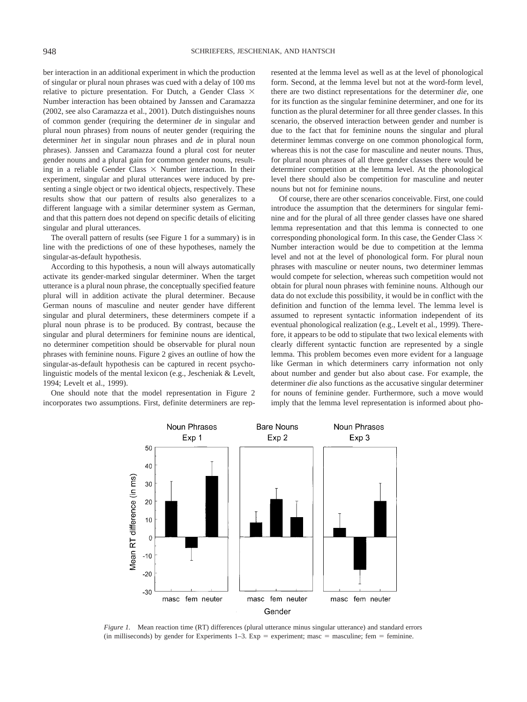ber interaction in an additional experiment in which the production of singular or plural noun phrases was cued with a delay of 100 ms relative to picture presentation. For Dutch, a Gender Class  $\times$ Number interaction has been obtained by Janssen and Caramazza (2002, see also Caramazza et al., 2001). Dutch distinguishes nouns of common gender (requiring the determiner *de* in singular and plural noun phrases) from nouns of neuter gender (requiring the determiner *het* in singular noun phrases and *de* in plural noun phrases). Janssen and Caramazza found a plural cost for neuter gender nouns and a plural gain for common gender nouns, resulting in a reliable Gender Class  $\times$  Number interaction. In their experiment, singular and plural utterances were induced by presenting a single object or two identical objects, respectively. These results show that our pattern of results also generalizes to a different language with a similar determiner system as German, and that this pattern does not depend on specific details of eliciting singular and plural utterances.

The overall pattern of results (see Figure 1 for a summary) is in line with the predictions of one of these hypotheses, namely the singular-as-default hypothesis.

According to this hypothesis, a noun will always automatically activate its gender-marked singular determiner. When the target utterance is a plural noun phrase, the conceptually specified feature plural will in addition activate the plural determiner. Because German nouns of masculine and neuter gender have different singular and plural determiners, these determiners compete if a plural noun phrase is to be produced. By contrast, because the singular and plural determiners for feminine nouns are identical, no determiner competition should be observable for plural noun phrases with feminine nouns. Figure 2 gives an outline of how the singular-as-default hypothesis can be captured in recent psycholinguistic models of the mental lexicon (e.g., Jescheniak & Levelt, 1994; Levelt et al., 1999).

One should note that the model representation in Figure 2 incorporates two assumptions. First, definite determiners are represented at the lemma level as well as at the level of phonological form. Second, at the lemma level but not at the word-form level, there are two distinct representations for the determiner *die*, one for its function as the singular feminine determiner, and one for its function as the plural determiner for all three gender classes. In this scenario, the observed interaction between gender and number is due to the fact that for feminine nouns the singular and plural determiner lemmas converge on one common phonological form, whereas this is not the case for masculine and neuter nouns. Thus, for plural noun phrases of all three gender classes there would be determiner competition at the lemma level. At the phonological level there should also be competition for masculine and neuter nouns but not for feminine nouns.

Of course, there are other scenarios conceivable. First, one could introduce the assumption that the determiners for singular feminine and for the plural of all three gender classes have one shared lemma representation and that this lemma is connected to one corresponding phonological form. In this case, the Gender Class  $\times$ Number interaction would be due to competition at the lemma level and not at the level of phonological form. For plural noun phrases with masculine or neuter nouns, two determiner lemmas would compete for selection, whereas such competition would not obtain for plural noun phrases with feminine nouns. Although our data do not exclude this possibility, it would be in conflict with the definition and function of the lemma level. The lemma level is assumed to represent syntactic information independent of its eventual phonological realization (e.g., Levelt et al., 1999). Therefore, it appears to be odd to stipulate that two lexical elements with clearly different syntactic function are represented by a single lemma. This problem becomes even more evident for a language like German in which determiners carry information not only about number and gender but also about case. For example, the determiner *die* also functions as the accusative singular determiner for nouns of feminine gender. Furthermore, such a move would imply that the lemma level representation is informed about pho-



*Figure 1.* Mean reaction time (RT) differences (plural utterance minus singular utterance) and standard errors (in milliseconds) by gender for Experiments  $1-3$ . Exp = experiment; masc = masculine; fem = feminine.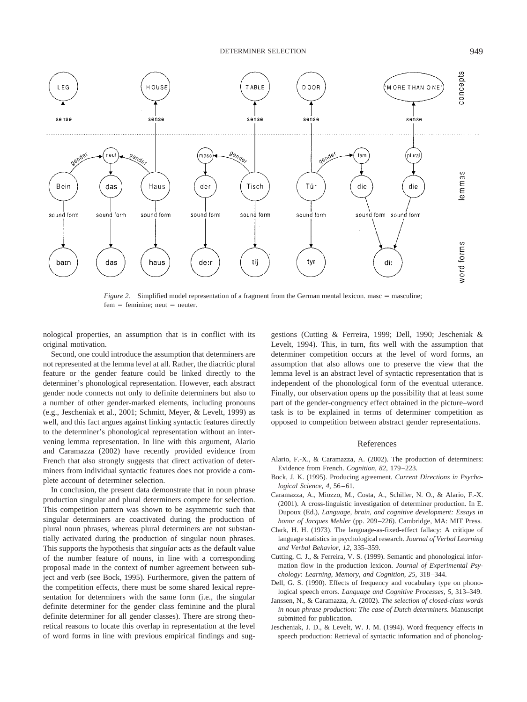

*Figure 2.* Simplified model representation of a fragment from the German mental lexicon. masc = masculine;  $fem = feminine; neut = neuter.$ 

nological properties, an assumption that is in conflict with its original motivation.

Second, one could introduce the assumption that determiners are not represented at the lemma level at all. Rather, the diacritic plural feature or the gender feature could be linked directly to the determiner's phonological representation. However, each abstract gender node connects not only to definite determiners but also to a number of other gender-marked elements, including pronouns (e.g., Jescheniak et al., 2001; Schmitt, Meyer, & Levelt, 1999) as well, and this fact argues against linking syntactic features directly to the determiner's phonological representation without an intervening lemma representation. In line with this argument, Alario and Caramazza (2002) have recently provided evidence from French that also strongly suggests that direct activation of determiners from individual syntactic features does not provide a complete account of determiner selection.

In conclusion, the present data demonstrate that in noun phrase production singular and plural determiners compete for selection. This competition pattern was shown to be asymmetric such that singular determiners are coactivated during the production of plural noun phrases, whereas plural determiners are not substantially activated during the production of singular noun phrases. This supports the hypothesis that *singular* acts as the default value of the number feature of nouns, in line with a corresponding proposal made in the context of number agreement between subject and verb (see Bock, 1995). Furthermore, given the pattern of the competition effects, there must be some shared lexical representation for determiners with the same form (i.e., the singular definite determiner for the gender class feminine and the plural definite determiner for all gender classes). There are strong theoretical reasons to locate this overlap in representation at the level of word forms in line with previous empirical findings and suggestions (Cutting & Ferreira, 1999; Dell, 1990; Jescheniak & Levelt, 1994). This, in turn, fits well with the assumption that determiner competition occurs at the level of word forms, an assumption that also allows one to preserve the view that the lemma level is an abstract level of syntactic representation that is independent of the phonological form of the eventual utterance. Finally, our observation opens up the possibility that at least some part of the gender-congruency effect obtained in the picture–word task is to be explained in terms of determiner competition as opposed to competition between abstract gender representations.

#### References

- Alario, F.-X., & Caramazza, A. (2002). The production of determiners: Evidence from French. *Cognition, 82,* 179–223.
- Bock, J. K. (1995). Producing agreement*. Current Directions in Psychological Science, 4,* 56–61.
- Caramazza, A., Miozzo, M., Costa, A., Schiller, N. O., & Alario, F.-X. (2001). A cross-linguistic investigation of determiner production. In E. Dupoux (Ed.), *Language, brain, and cognitive development: Essays in honor of Jacques Mehler* (pp. 209–226). Cambridge, MA: MIT Press.
- Clark, H. H. (1973). The language-as-fixed-effect fallacy: A critique of language statistics in psychological research. *Journal of Verbal Learning and Verbal Behavior, 12,* 335–359.
- Cutting, C. J., & Ferreira, V. S. (1999). Semantic and phonological information flow in the production lexicon. *Journal of Experimental Psychology: Learning, Memory, and Cognition, 25,* 318–344.
- Dell, G. S. (1990). Effects of frequency and vocabulary type on phonological speech errors. *Language and Cognitive Processes, 5,* 313–349.
- Janssen, N., & Caramazza, A. (2002). *The selection of closed-class words in noun phrase production: The case of Dutch determiners.* Manuscript submitted for publication.
- Jescheniak, J. D., & Levelt, W. J. M. (1994). Word frequency effects in speech production: Retrieval of syntactic information and of phonolog-